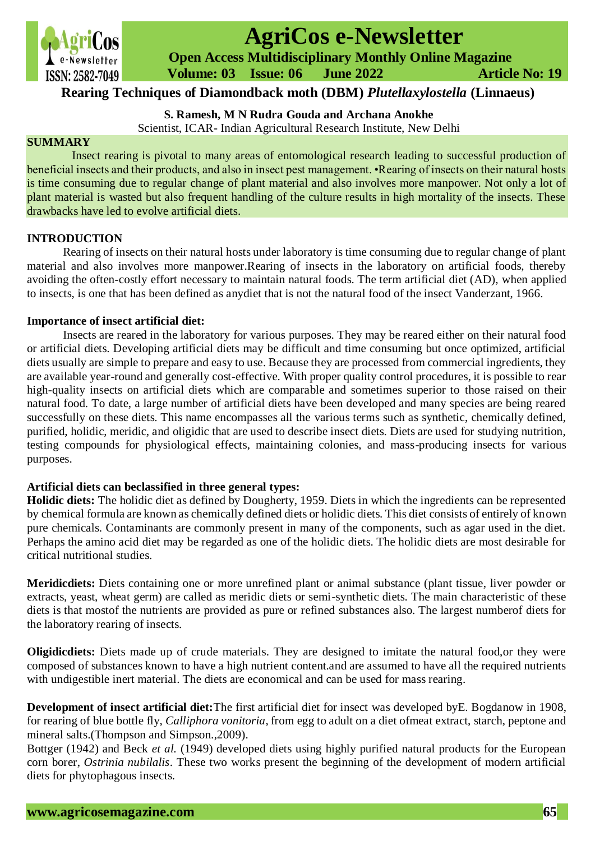

# **AgriCos e-Newsletter**

 **Open Access Multidisciplinary Monthly Online Magazine**

 **Volume: 03 Issue: 06 June 2022 Article No: 19**

# **Rearing Techniques of Diamondback moth (DBM)** *Plutellaxylostella* **(Linnaeus)**

**S. Ramesh, M N Rudra Gouda and Archana Anokhe**

Scientist, ICAR- Indian Agricultural Research Institute, New Delhi

## **SUMMARY**

Insect rearing is pivotal to many areas of entomological research leading to successful production of beneficial insects and their products, and also in insect pest management. •Rearing of insects on their natural hosts is time consuming due to regular change of plant material and also involves more manpower. Not only a lot of plant material is wasted but also frequent handling of the culture results in high mortality of the insects. These drawbacks have led to evolve artificial diets.

# **INTRODUCTION**

Rearing of insects on their natural hosts under laboratory is time consuming due to regular change of plant material and also involves more manpower.Rearing of insects in the laboratory on artificial foods, thereby avoiding the often-costly effort necessary to maintain natural foods. The term artificial diet (AD), when applied to insects, is one that has been defined as anydiet that is not the natural food of the insect Vanderzant, 1966.

# **Importance of insect artificial diet:**

Insects are reared in the laboratory for various purposes. They may be reared either on their natural food or artificial diets. Developing artificial diets may be difficult and time consuming but once optimized, artificial diets usually are simple to prepare and easy to use. Because they are processed from commercial ingredients, they are available year-round and generally cost-effective. With proper quality control procedures, it is possible to rear high-quality insects on artificial diets which are comparable and sometimes superior to those raised on their natural food. To date, a large number of artificial diets have been developed and many species are being reared successfully on these diets. This name encompasses all the various terms such as synthetic, chemically defined, purified, holidic, meridic, and oligidic that are used to describe insect diets. Diets are used for studying nutrition, testing compounds for physiological effects, maintaining colonies, and mass-producing insects for various purposes.

### **Artificial diets can beclassified in three general types:**

**Holidic diets:** The holidic diet as defined by Dougherty, 1959. Diets in which the ingredients can be represented by chemical formula are known as chemically defined diets or holidic diets. This diet consists of entirely of known pure chemicals. Contaminants are commonly present in many of the components, such as agar used in the diet. Perhaps the amino acid diet may be regarded as one of the holidic diets. The holidic diets are most desirable for critical nutritional studies.

**Meridicdiets:** Diets containing one or more unrefined plant or animal substance (plant tissue, liver powder or extracts, yeast, wheat germ) are called as meridic diets or semi-synthetic diets. The main characteristic of these diets is that mostof the nutrients are provided as pure or refined substances also. The largest numberof diets for the laboratory rearing of insects.

**Oligidicdiets:** Diets made up of crude materials. They are designed to imitate the natural food,or they were composed of substances known to have a high nutrient content.and are assumed to have all the required nutrients with undigestible inert material. The diets are economical and can be used for mass rearing.

**Development of insect artificial diet:**The first artificial diet for insect was developed byE. Bogdanow in 1908, for rearing of blue bottle fly, *Calliphora vonitoria*, from egg to adult on a diet ofmeat extract, starch, peptone and mineral salts.(Thompson and Simpson.,2009).

Bottger (1942) and Beck *et al.* (1949) developed diets using highly purified natural products for the European corn borer, *Ostrinia nubilalis*. These two works present the beginning of the development of modern artificial diets for phytophagous insects.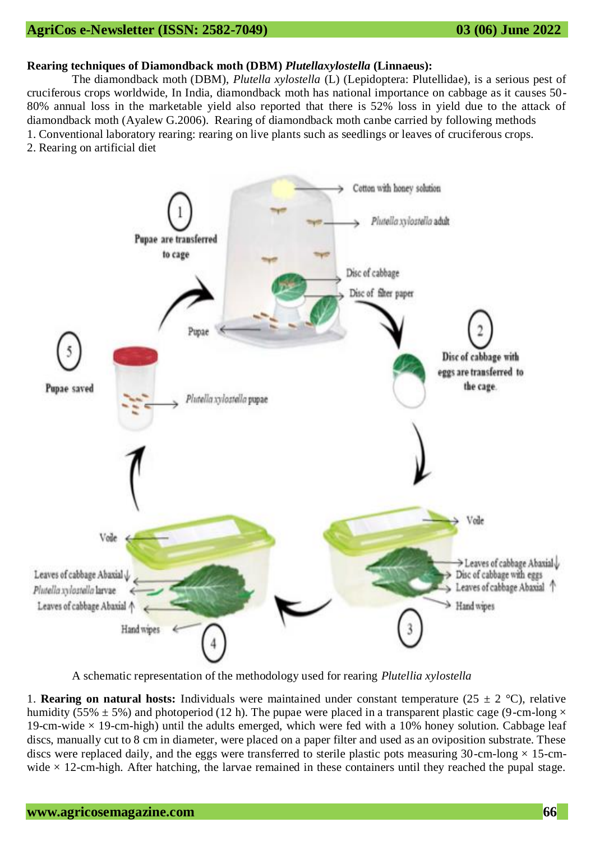# **AgriCos e-Newsletter (ISSN: 2582-7049) 03 (06) June 2022**

#### **Rearing techniques of Diamondback moth (DBM)** *Plutellaxylostella* **(Linnaeus):**

The diamondback moth (DBM), *Plutella xylostella* (L) (Lepidoptera: Plutellidae), is a serious pest of cruciferous crops worldwide, In India, diamondback moth has national importance on cabbage as it causes 50- 80% annual loss in the marketable yield also reported that there is 52% loss in yield due to the attack of diamondback moth (Ayalew G.2006). Rearing of diamondback moth canbe carried by following methods 1. Conventional laboratory rearing: rearing on live plants such as seedlings or leaves of cruciferous crops.

2. Rearing on artificial diet



A schematic representation of the methodology used for rearing *Plutellia xylostella*

1. **Rearing on natural hosts:** Individuals were maintained under constant temperature  $(25 \pm 2 \degree C)$ , relative humidity (55%  $\pm$  5%) and photoperiod (12 h). The pupae were placed in a transparent plastic cage (9-cm-long  $\times$ 19-cm-wide  $\times$  19-cm-high) until the adults emerged, which were fed with a 10% honey solution. Cabbage leaf discs, manually cut to 8 cm in diameter, were placed on a paper filter and used as an oviposition substrate. These discs were replaced daily, and the eggs were transferred to sterile plastic pots measuring 30-cm-long  $\times$  15-cmwide  $\times$  12-cm-high. After hatching, the larvae remained in these containers until they reached the pupal stage.